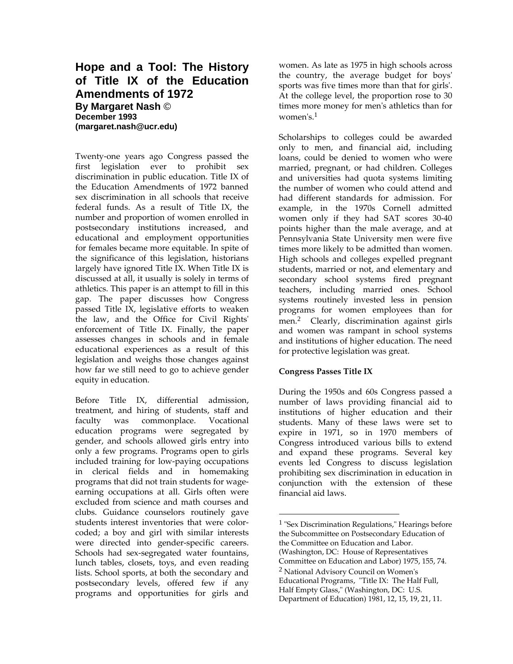# **Hope and a Tool: The History of Title IX of the Education Amendments of 1972 By Margaret Nash** © **December 1993 (margaret.nash@ucr.edu)**

Twenty-one years ago Congress passed the first legislation ever to prohibit sex discrimination in public education. Title IX of the Education Amendments of 1972 banned sex discrimination in all schools that receive federal funds. As a result of Title IX, the number and proportion of women enrolled in postsecondary institutions increased, and educational and employment opportunities for females became more equitable. In spite of the significance of this legislation, historians largely have ignored Title IX. When Title IX is discussed at all, it usually is solely in terms of athletics. This paper is an attempt to fill in this gap. The paper discusses how Congress passed Title IX, legislative efforts to weaken the law, and the Office for Civil Rights' enforcement of Title IX. Finally, the paper assesses changes in schools and in female educational experiences as a result of this legislation and weighs those changes against how far we still need to go to achieve gender equity in education.

Before Title IX, differential admission, treatment, and hiring of students, staff and faculty was commonplace. Vocational education programs were segregated by gender, and schools allowed girls entry into only a few programs. Programs open to girls included training for low-paying occupations in clerical fields and in homemaking programs that did not train students for wageearning occupations at all. Girls often were excluded from science and math courses and clubs. Guidance counselors routinely gave students interest inventories that were colorcoded; a boy and girl with similar interests were directed into gender-specific careers. Schools had sex-segregated water fountains, lunch tables, closets, toys, and even reading lists. School sports, at both the secondary and postsecondary levels, offered few if any programs and opportunities for girls and

women. As late as 1975 in high schools across the country, the average budget for boys' sports was five times more than that for girls'. At the college level, the proportion rose to 30 times more money for men's athletics than for women's.<sup>1</sup>

Scholarships to colleges could be awarded only to men, and financial aid, including loans, could be denied to women who were married, pregnant, or had children. Colleges and universities had quota systems limiting the number of women who could attend and had different standards for admission. For example, in the 1970s Cornell admitted women only if they had SAT scores 30-40 points higher than the male average, and at Pennsylvania State University men were five times more likely to be admitted than women. High schools and colleges expelled pregnant students, married or not, and elementary and secondary school systems fired pregnant teachers, including married ones. School systems routinely invested less in pension programs for women employees than for men.2 Clearly, discrimination against girls and women was rampant in school systems and institutions of higher education. The need for protective legislation was great.

# **Congress Passes Title IX**

 $\overline{a}$ 

During the 1950s and 60s Congress passed a number of laws providing financial aid to institutions of higher education and their students. Many of these laws were set to expire in 1971, so in 1970 members of Congress introduced various bills to extend and expand these programs. Several key events led Congress to discuss legislation prohibiting sex discrimination in education in conjunction with the extension of these financial aid laws.

<sup>1</sup> "Sex Discrimination Regulations," Hearings before the Subcommittee on Postsecondary Education of the Committee on Education and Labor. (Washington, DC: House of Representatives Committee on Education and Labor) 1975, 155, 74. <sup>2</sup> National Advisory Council on Women's Educational Programs, "Title IX: The Half Full, Half Empty Glass," (Washington, DC: U.S.

Department of Education) 1981, 12, 15, 19, 21, 11.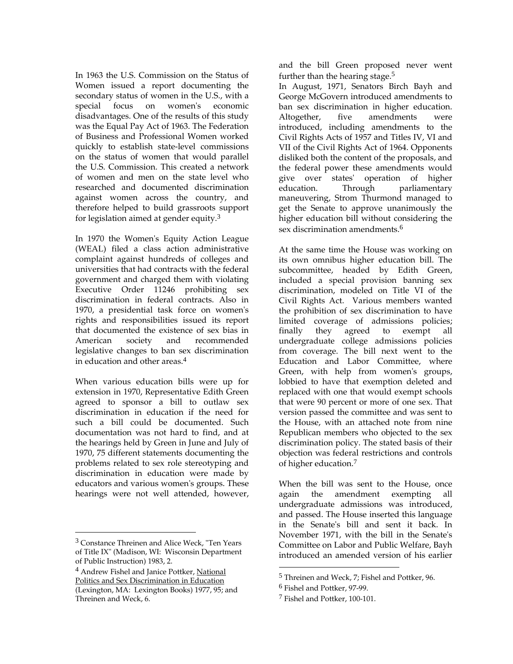In 1963 the U.S. Commission on the Status of Women issued a report documenting the secondary status of women in the U.S., with a special focus on women's economic disadvantages. One of the results of this study was the Equal Pay Act of 1963. The Federation of Business and Professional Women worked quickly to establish state-level commissions on the status of women that would parallel the U.S. Commission. This created a network of women and men on the state level who researched and documented discrimination against women across the country, and therefore helped to build grassroots support for legislation aimed at gender equity.<sup>3</sup>

In 1970 the Women's Equity Action League (WEAL) filed a class action administrative complaint against hundreds of colleges and universities that had contracts with the federal government and charged them with violating Executive Order 11246 prohibiting sex discrimination in federal contracts. Also in 1970, a presidential task force on women's rights and responsibilities issued its report that documented the existence of sex bias in American society and recommended legislative changes to ban sex discrimination in education and other areas.<sup>4</sup>

When various education bills were up for extension in 1970, Representative Edith Green agreed to sponsor a bill to outlaw sex discrimination in education if the need for such a bill could be documented. Such documentation was not hard to find, and at the hearings held by Green in June and July of 1970, 75 different statements documenting the problems related to sex role stereotyping and discrimination in education were made by educators and various women's groups. These hearings were not well attended, however,

 $\overline{a}$ 

<sup>4</sup> Andrew Fishel and Janice Pottker, National Politics and Sex Discrimination in Education (Lexington, MA: Lexington Books) 1977, 95; and Threinen and Weck, 6.

and the bill Green proposed never went further than the hearing stage.<sup>5</sup>

In August, 1971, Senators Birch Bayh and George McGovern introduced amendments to ban sex discrimination in higher education. Altogether, five amendments were introduced, including amendments to the Civil Rights Acts of 1957 and Titles IV, VI and VII of the Civil Rights Act of 1964. Opponents disliked both the content of the proposals, and the federal power these amendments would give over states' operation of higher education. Through parliamentary maneuvering, Strom Thurmond managed to get the Senate to approve unanimously the higher education bill without considering the sex discrimination amendments.<sup>6</sup>

At the same time the House was working on its own omnibus higher education bill. The subcommittee, headed by Edith Green, included a special provision banning sex discrimination, modeled on Title VI of the Civil Rights Act. Various members wanted the prohibition of sex discrimination to have limited coverage of admissions policies; finally they agreed to exempt all undergraduate college admissions policies from coverage. The bill next went to the Education and Labor Committee, where Green, with help from women's groups, lobbied to have that exemption deleted and replaced with one that would exempt schools that were 90 percent or more of one sex. That version passed the committee and was sent to the House, with an attached note from nine Republican members who objected to the sex discrimination policy. The stated basis of their objection was federal restrictions and controls of higher education.<sup>7</sup>

When the bill was sent to the House, once again the amendment exempting all undergraduate admissions was introduced, and passed. The House inserted this language in the Senate's bill and sent it back. In November 1971, with the bill in the Senate's Committee on Labor and Public Welfare, Bayh introduced an amended version of his earlier

<sup>&</sup>lt;sup>3</sup> Constance Threinen and Alice Weck, "Ten Years of Title IX" (Madison, WI: Wisconsin Department of Public Instruction) 1983, 2.

<sup>5</sup> Threinen and Weck, 7; Fishel and Pottker, 96.

<sup>6</sup> Fishel and Pottker, 97-99.

<sup>7</sup> Fishel and Pottker, 100-101.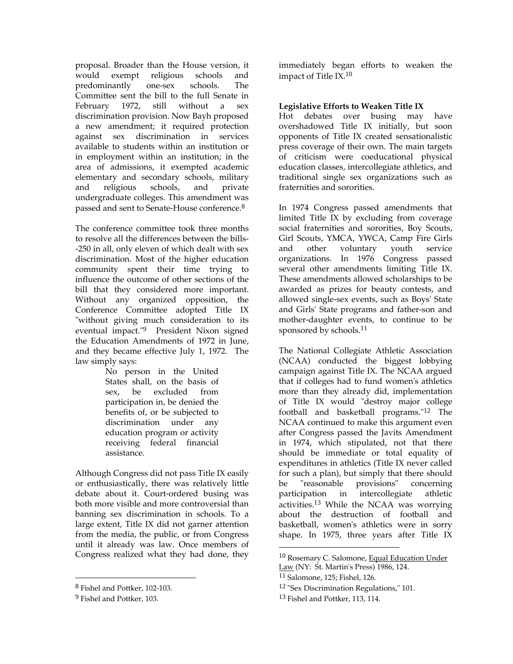proposal. Broader than the House version, it would exempt religious schools and predominantly one-sex schools. The Committee sent the bill to the full Senate in February 1972, still without a sex discrimination provision. Now Bayh proposed a new amendment; it required protection against sex discrimination in services available to students within an institution or in employment within an institution; in the area of admissions, it exempted academic elementary and secondary schools, military and religious schools, and private undergraduate colleges. This amendment was passed and sent to Senate-House conference.<sup>8</sup>

The conference committee took three months to resolve all the differences between the bills- -250 in all, only eleven of which dealt with sex discrimination. Most of the higher education community spent their time trying to influence the outcome of other sections of the bill that they considered more important. Without any organized opposition, the Conference Committee adopted Title IX "without giving much consideration to its eventual impact."9 President Nixon signed the Education Amendments of 1972 in June, and they became effective July 1, 1972. The law simply says:

No person in the United States shall, on the basis of sex, be excluded from participation in, be denied the benefits of, or be subjected to discrimination under any education program or activity receiving federal financial assistance.

Although Congress did not pass Title IX easily or enthusiastically, there was relatively little debate about it. Court-ordered busing was both more visible and more controversial than banning sex discrimination in schools. To a large extent, Title IX did not garner attention from the media, the public, or from Congress until it already was law. Once members of Congress realized what they had done, they

 $\overline{a}$ 

immediately began efforts to weaken the impact of Title IX.<sup>10</sup>

# **Legislative Efforts to Weaken Title IX**

Hot debates over busing may have overshadowed Title IX initially, but soon opponents of Title IX created sensationalistic press coverage of their own. The main targets of criticism were coeducational physical education classes, intercollegiate athletics, and traditional single sex organizations such as fraternities and sororities.

In 1974 Congress passed amendments that limited Title IX by excluding from coverage social fraternities and sororities, Boy Scouts, Girl Scouts, YMCA, YWCA, Camp Fire Girls and other voluntary youth service organizations. In 1976 Congress passed several other amendments limiting Title IX. These amendments allowed scholarships to be awarded as prizes for beauty contests, and allowed single-sex events, such as Boys' State and Girls' State programs and father-son and mother-daughter events, to continue to be sponsored by schools.<sup>11</sup>

The National Collegiate Athletic Association (NCAA) conducted the biggest lobbying campaign against Title IX. The NCAA argued that if colleges had to fund women's athletics more than they already did, implementation of Title IX would "destroy major college football and basketball programs."12 The NCAA continued to make this argument even after Congress passed the Javits Amendment in 1974, which stipulated, not that there should be immediate or total equality of expenditures in athletics (Title IX never called for such a plan), but simply that there should be "reasonable provisions" concerning participation in intercollegiate athletic activities.13 While the NCAA was worrying about the destruction of football and basketball, women's athletics were in sorry shape. In 1975, three years after Title IX

<sup>8</sup> Fishel and Pottker, 102-103.

<sup>9</sup> Fishel and Pottker, 103.

<sup>10</sup> Rosemary C. Salomone, Equal Education Under Law (NY: St. Martin's Press) 1986, 124.

<sup>11</sup> Salomone, 125; Fishel, 126.

<sup>12</sup> "Sex Discrimination Regulations," 101.

<sup>&</sup>lt;sup>13</sup> Fishel and Pottker, 113, 114.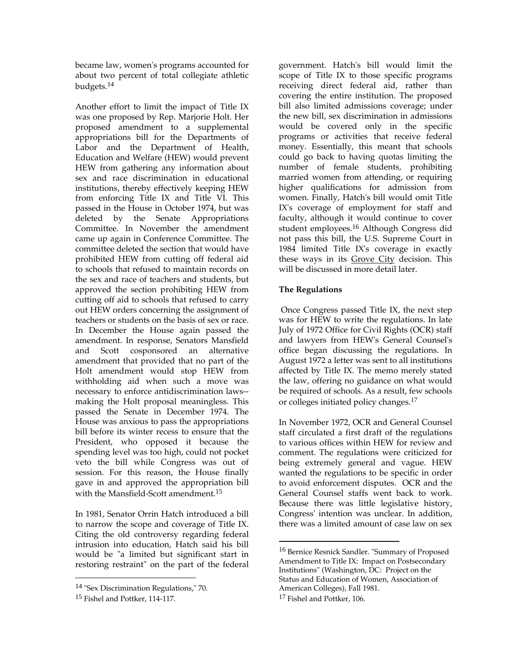became law, women's programs accounted for about two percent of total collegiate athletic budgets.<sup>14</sup>

Another effort to limit the impact of Title IX was one proposed by Rep. Marjorie Holt. Her proposed amendment to a supplemental appropriations bill for the Departments of Labor and the Department of Health, Education and Welfare (HEW) would prevent HEW from gathering any information about sex and race discrimination in educational institutions, thereby effectively keeping HEW from enforcing Title IX and Title VI. This passed in the House in October 1974, but was deleted by the Senate Appropriations Committee. In November the amendment came up again in Conference Committee. The committee deleted the section that would have prohibited HEW from cutting off federal aid to schools that refused to maintain records on the sex and race of teachers and students, but approved the section prohibiting HEW from cutting off aid to schools that refused to carry out HEW orders concerning the assignment of teachers or students on the basis of sex or race. In December the House again passed the amendment. In response, Senators Mansfield and Scott cosponsored an alternative amendment that provided that no part of the Holt amendment would stop HEW from withholding aid when such a move was necessary to enforce antidiscrimination laws- making the Holt proposal meaningless. This passed the Senate in December 1974. The House was anxious to pass the appropriations bill before its winter recess to ensure that the President, who opposed it because the spending level was too high, could not pocket veto the bill while Congress was out of session. For this reason, the House finally gave in and approved the appropriation bill with the Mansfield-Scott amendment.<sup>15</sup>

In 1981, Senator Orrin Hatch introduced a bill to narrow the scope and coverage of Title IX. Citing the old controversy regarding federal intrusion into education, Hatch said his bill would be "a limited but significant start in restoring restraint" on the part of the federal

 $\overline{a}$ 

government. Hatch's bill would limit the scope of Title IX to those specific programs receiving direct federal aid, rather than covering the entire institution. The proposed bill also limited admissions coverage; under the new bill, sex discrimination in admissions would be covered only in the specific programs or activities that receive federal money. Essentially, this meant that schools could go back to having quotas limiting the number of female students, prohibiting married women from attending, or requiring higher qualifications for admission from women. Finally, Hatch's bill would omit Title IX's coverage of employment for staff and faculty, although it would continue to cover student employees.16 Although Congress did not pass this bill, the U.S. Supreme Court in 1984 limited Title IX's coverage in exactly these ways in its Grove City decision. This will be discussed in more detail later.

#### **The Regulations**

 Once Congress passed Title IX, the next step was for HEW to write the regulations. In late July of 1972 Office for Civil Rights (OCR) staff and lawyers from HEW's General Counsel's office began discussing the regulations. In August 1972 a letter was sent to all institutions affected by Title IX. The memo merely stated the law, offering no guidance on what would be required of schools. As a result, few schools or colleges initiated policy changes.<sup>17</sup>

In November 1972, OCR and General Counsel staff circulated a first draft of the regulations to various offices within HEW for review and comment. The regulations were criticized for being extremely general and vague. HEW wanted the regulations to be specific in order to avoid enforcement disputes. OCR and the General Counsel staffs went back to work. Because there was little legislative history, Congress' intention was unclear. In addition, there was a limited amount of case law on sex

<sup>14</sup> "Sex Discrimination Regulations," 70.

<sup>15</sup> Fishel and Pottker, 114-117.

<sup>16</sup> Bernice Resnick Sandler. "Summary of Proposed Amendment to Title IX: Impact on Postsecondary Institutions" (Washington, DC: Project on the Status and Education of Women, Association of American Colleges), Fall 1981.

<sup>&</sup>lt;sup>17</sup> Fishel and Pottker, 106.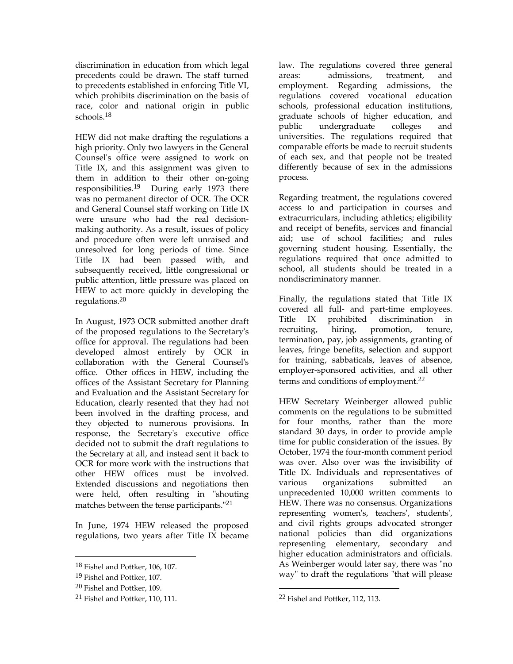discrimination in education from which legal precedents could be drawn. The staff turned to precedents established in enforcing Title VI, which prohibits discrimination on the basis of race, color and national origin in public schools.<sup>18</sup>

HEW did not make drafting the regulations a high priority. Only two lawyers in the General Counsel's office were assigned to work on Title IX, and this assignment was given to them in addition to their other on-going responsibilities.19 During early 1973 there was no permanent director of OCR. The OCR and General Counsel staff working on Title IX were unsure who had the real decisionmaking authority. As a result, issues of policy and procedure often were left unraised and unresolved for long periods of time. Since Title IX had been passed with, and subsequently received, little congressional or public attention, little pressure was placed on HEW to act more quickly in developing the regulations.<sup>20</sup>

In August, 1973 OCR submitted another draft of the proposed regulations to the Secretary's office for approval. The regulations had been developed almost entirely by OCR in collaboration with the General Counsel's office. Other offices in HEW, including the offices of the Assistant Secretary for Planning and Evaluation and the Assistant Secretary for Education, clearly resented that they had not been involved in the drafting process, and they objected to numerous provisions. In response, the Secretary's executive office decided not to submit the draft regulations to the Secretary at all, and instead sent it back to OCR for more work with the instructions that other HEW offices must be involved. Extended discussions and negotiations then were held, often resulting in "shouting matches between the tense participants."<sup>21</sup>

In June, 1974 HEW released the proposed regulations, two years after Title IX became

 $\overline{a}$ 

law. The regulations covered three general areas: admissions, treatment, and employment. Regarding admissions, the regulations covered vocational education schools, professional education institutions, graduate schools of higher education, and public undergraduate colleges and universities. The regulations required that comparable efforts be made to recruit students of each sex, and that people not be treated differently because of sex in the admissions process.

Regarding treatment, the regulations covered access to and participation in courses and extracurriculars, including athletics; eligibility and receipt of benefits, services and financial aid; use of school facilities; and rules governing student housing. Essentially, the regulations required that once admitted to school, all students should be treated in a nondiscriminatory manner.

Finally, the regulations stated that Title IX covered all full- and part-time employees. Title IX prohibited discrimination in recruiting, hiring, promotion, tenure, termination, pay, job assignments, granting of leaves, fringe benefits, selection and support for training, sabbaticals, leaves of absence, employer-sponsored activities, and all other terms and conditions of employment.<sup>22</sup>

HEW Secretary Weinberger allowed public comments on the regulations to be submitted for four months, rather than the more standard 30 days, in order to provide ample time for public consideration of the issues. By October, 1974 the four-month comment period was over. Also over was the invisibility of Title IX. Individuals and representatives of various organizations submitted an unprecedented 10,000 written comments to HEW. There was no consensus. Organizations representing women's, teachers', students', and civil rights groups advocated stronger national policies than did organizations representing elementary, secondary and higher education administrators and officials. As Weinberger would later say, there was "no way" to draft the regulations "that will please

<sup>18</sup> Fishel and Pottker, 106, 107.

<sup>19</sup> Fishel and Pottker, 107.

<sup>20</sup> Fishel and Pottker, 109.

 $21$  Fishel and Pottker, 110, 111.

<sup>22</sup> Fishel and Pottker, 112, 113.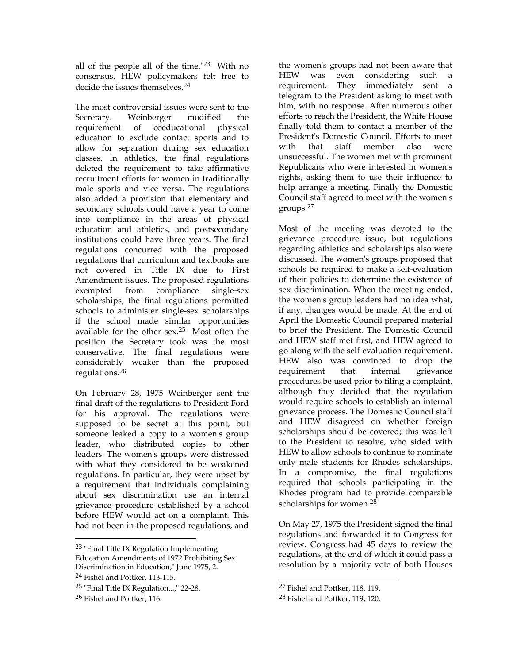all of the people all of the time." $23$  With no consensus, HEW policymakers felt free to decide the issues themselves.<sup>24</sup>

The most controversial issues were sent to the Secretary. Weinberger modified the requirement of coeducational physical education to exclude contact sports and to allow for separation during sex education classes. In athletics, the final regulations deleted the requirement to take affirmative recruitment efforts for women in traditionally male sports and vice versa. The regulations also added a provision that elementary and secondary schools could have a year to come into compliance in the areas of physical education and athletics, and postsecondary institutions could have three years. The final regulations concurred with the proposed regulations that curriculum and textbooks are not covered in Title IX due to First Amendment issues. The proposed regulations exempted from compliance single-sex scholarships; the final regulations permitted schools to administer single-sex scholarships if the school made similar opportunities available for the other sex.25 Most often the position the Secretary took was the most conservative. The final regulations were considerably weaker than the proposed regulations.<sup>26</sup>

On February 28, 1975 Weinberger sent the final draft of the regulations to President Ford for his approval. The regulations were supposed to be secret at this point, but someone leaked a copy to a women's group leader, who distributed copies to other leaders. The women's groups were distressed with what they considered to be weakened regulations. In particular, they were upset by a requirement that individuals complaining about sex discrimination use an internal grievance procedure established by a school before HEW would act on a complaint. This had not been in the proposed regulations, and

 $\overline{a}$ 

the women's groups had not been aware that HEW was even considering such a requirement. They immediately sent a telegram to the President asking to meet with him, with no response. After numerous other efforts to reach the President, the White House finally told them to contact a member of the President's Domestic Council. Efforts to meet with that staff member also were unsuccessful. The women met with prominent Republicans who were interested in women's rights, asking them to use their influence to help arrange a meeting. Finally the Domestic Council staff agreed to meet with the women's groups.<sup>27</sup>

Most of the meeting was devoted to the grievance procedure issue, but regulations regarding athletics and scholarships also were discussed. The women's groups proposed that schools be required to make a self-evaluation of their policies to determine the existence of sex discrimination. When the meeting ended, the women's group leaders had no idea what, if any, changes would be made. At the end of April the Domestic Council prepared material to brief the President. The Domestic Council and HEW staff met first, and HEW agreed to go along with the self-evaluation requirement. HEW also was convinced to drop the requirement that internal grievance procedures be used prior to filing a complaint, although they decided that the regulation would require schools to establish an internal grievance process. The Domestic Council staff and HEW disagreed on whether foreign scholarships should be covered; this was left to the President to resolve, who sided with HEW to allow schools to continue to nominate only male students for Rhodes scholarships. In a compromise, the final regulations required that schools participating in the Rhodes program had to provide comparable scholarships for women.<sup>28</sup>

On May 27, 1975 the President signed the final regulations and forwarded it to Congress for review. Congress had 45 days to review the regulations, at the end of which it could pass a resolution by a majority vote of both Houses

 $23$  "Final Title IX Regulation Implementing Education Amendments of 1972 Prohibiting Sex Discrimination in Education," June 1975, 2.

<sup>24</sup> Fishel and Pottker, 113-115.

<sup>25</sup> "Final Title IX Regulation...," 22-28.

<sup>&</sup>lt;sup>26</sup> Fishel and Pottker, 116.

<sup>27</sup> Fishel and Pottker, 118, 119.

<sup>28</sup> Fishel and Pottker, 119, 120.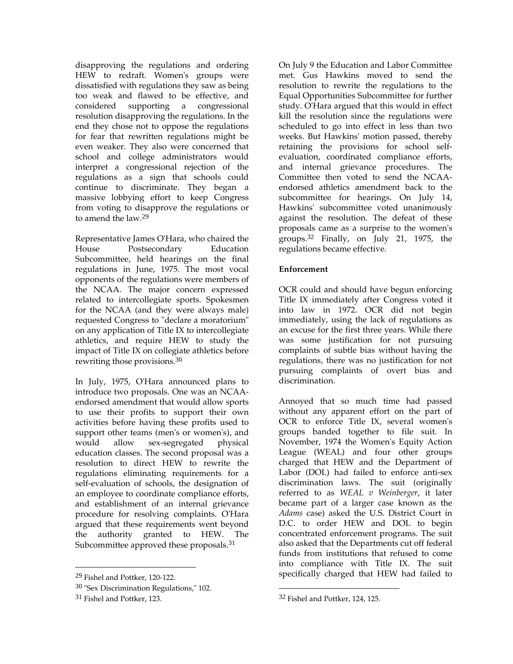disapproving the regulations and ordering HEW to redraft. Women's groups were dissatisfied with regulations they saw as being too weak and flawed to be effective, and considered supporting a congressional resolution disapproving the regulations. In the end they chose not to oppose the regulations for fear that rewritten regulations might be even weaker. They also were concerned that school and college administrators would interpret a congressional rejection of the regulations as a sign that schools could continue to discriminate. They began a massive lobbying effort to keep Congress from voting to disapprove the regulations or to amend the law.<sup>29</sup>

Representative James O'Hara, who chaired the House Postsecondary Education Subcommittee, held hearings on the final regulations in June, 1975. The most vocal opponents of the regulations were members of the NCAA. The major concern expressed related to intercollegiate sports. Spokesmen for the NCAA (and they were always male) requested Congress to "declare a moratorium" on any application of Title IX to intercollegiate athletics, and require HEW to study the impact of Title IX on collegiate athletics before rewriting those provisions.<sup>30</sup>

In July, 1975, O'Hara announced plans to introduce two proposals. One was an NCAAendorsed amendment that would allow sports to use their profits to support their own activities before having these profits used to support other teams (men's or women's), and would allow sex-segregated physical education classes. The second proposal was a resolution to direct HEW to rewrite the regulations eliminating requirements for a self-evaluation of schools, the designation of an employee to coordinate compliance efforts, and establishment of an internal grievance procedure for resolving complaints. O'Hara argued that these requirements went beyond the authority granted to HEW. The Subcommittee approved these proposals.<sup>31</sup>

 $\overline{a}$ 

On July 9 the Education and Labor Committee met. Gus Hawkins moved to send the resolution to rewrite the regulations to the Equal Opportunities Subcommittee for further study. O'Hara argued that this would in effect kill the resolution since the regulations were scheduled to go into effect in less than two weeks. But Hawkins' motion passed, thereby retaining the provisions for school selfevaluation, coordinated compliance efforts, and internal grievance procedures. The Committee then voted to send the NCAAendorsed athletics amendment back to the subcommittee for hearings. On July 14, Hawkins' subcommittee voted unanimously against the resolution. The defeat of these proposals came as a surprise to the women's groups.32 Finally, on July 21, 1975, the regulations became effective.

# **Enforcement**

OCR could and should have begun enforcing Title IX immediately after Congress voted it into law in 1972. OCR did not begin immediately, using the lack of regulations as an excuse for the first three years. While there was some justification for not pursuing complaints of subtle bias without having the regulations, there was no justification for not pursuing complaints of overt bias and discrimination.

Annoyed that so much time had passed without any apparent effort on the part of OCR to enforce Title IX, several women's groups banded together to file suit. In November, 1974 the Women's Equity Action League (WEAL) and four other groups charged that HEW and the Department of Labor (DOL) had failed to enforce anti-sex discrimination laws. The suit (originally referred to as *WEAL v Weinberger*, it later became part of a larger case known as the *Adams* case) asked the U.S. District Court in D.C. to order HEW and DOL to begin concentrated enforcement programs. The suit also asked that the Departments cut off federal funds from institutions that refused to come into compliance with Title IX. The suit specifically charged that HEW had failed to

<sup>29</sup> Fishel and Pottker, 120-122.

<sup>30</sup> "Sex Discrimination Regulations," 102.

<sup>&</sup>lt;sup>31</sup> Fishel and Pottker, 123.

<sup>32</sup> Fishel and Pottker, 124, 125.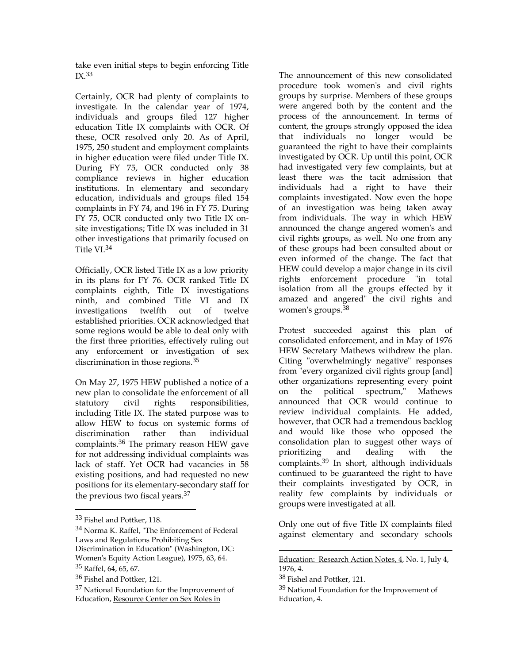take even initial steps to begin enforcing Title  $IX.33$ 

Certainly, OCR had plenty of complaints to investigate. In the calendar year of 1974, individuals and groups filed 127 higher education Title IX complaints with OCR. Of these, OCR resolved only 20. As of April, 1975, 250 student and employment complaints in higher education were filed under Title IX. During FY 75, OCR conducted only 38 compliance reviews in higher education institutions. In elementary and secondary education, individuals and groups filed 154 complaints in FY 74, and 196 in FY 75. During FY 75, OCR conducted only two Title IX onsite investigations; Title IX was included in 31 other investigations that primarily focused on Title VI.<sup>34</sup>

Officially, OCR listed Title IX as a low priority in its plans for FY 76. OCR ranked Title IX complaints eighth, Title IX investigations ninth, and combined Title VI and IX investigations twelfth out of twelve established priorities. OCR acknowledged that some regions would be able to deal only with the first three priorities, effectively ruling out any enforcement or investigation of sex discrimination in those regions.<sup>35</sup>

On May 27, 1975 HEW published a notice of a new plan to consolidate the enforcement of all statutory civil rights responsibilities, including Title IX. The stated purpose was to allow HEW to focus on systemic forms of discrimination rather than individual complaints.36 The primary reason HEW gave for not addressing individual complaints was lack of staff. Yet OCR had vacancies in 58 existing positions, and had requested no new positions for its elementary-secondary staff for the previous two fiscal years.<sup>37</sup>

 $\overline{a}$ 

The announcement of this new consolidated procedure took women's and civil rights groups by surprise. Members of these groups were angered both by the content and the process of the announcement. In terms of content, the groups strongly opposed the idea that individuals no longer would be guaranteed the right to have their complaints investigated by OCR. Up until this point, OCR had investigated very few complaints, but at least there was the tacit admission that individuals had a right to have their complaints investigated. Now even the hope of an investigation was being taken away from individuals. The way in which HEW announced the change angered women's and civil rights groups, as well. No one from any of these groups had been consulted about or even informed of the change. The fact that HEW could develop a major change in its civil rights enforcement procedure "in total isolation from all the groups effected by it amazed and angered" the civil rights and women's groups.<sup>38</sup>

Protest succeeded against this plan of consolidated enforcement, and in May of 1976 HEW Secretary Mathews withdrew the plan. Citing "overwhelmingly negative" responses from "every organized civil rights group [and] other organizations representing every point on the political spectrum," Mathews announced that OCR would continue to review individual complaints. He added, however, that OCR had a tremendous backlog and would like those who opposed the consolidation plan to suggest other ways of prioritizing and dealing with the complaints.39 In short, although individuals continued to be guaranteed the right to have their complaints investigated by OCR, in reality few complaints by individuals or groups were investigated at all.

Only one out of five Title IX complaints filed against elementary and secondary schools

<sup>33</sup> Fishel and Pottker, 118.

<sup>34</sup> Norma K. Raffel, "The Enforcement of Federal Laws and Regulations Prohibiting Sex Discrimination in Education" (Washington, DC: Women's Equity Action League), 1975, 63, 64.

<sup>35</sup> Raffel, 64, 65, 67.

<sup>36</sup> Fishel and Pottker, 121.

<sup>37</sup> National Foundation for the Improvement of Education, Resource Center on Sex Roles in

Education: Research Action Notes, 4, No. 1, July 4, 1976, 4.

<sup>38</sup> Fishel and Pottker, 121.

<sup>39</sup> National Foundation for the Improvement of Education, 4.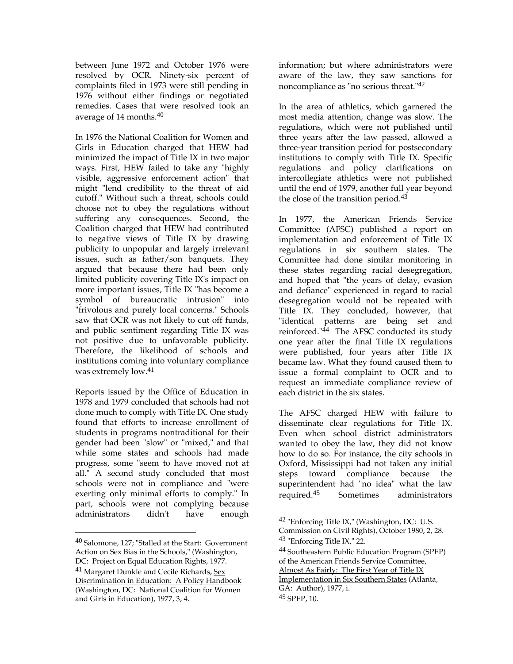between June 1972 and October 1976 were resolved by OCR. Ninety-six percent of complaints filed in 1973 were still pending in 1976 without either findings or negotiated remedies. Cases that were resolved took an average of 14 months.<sup>40</sup>

In 1976 the National Coalition for Women and Girls in Education charged that HEW had minimized the impact of Title IX in two major ways. First, HEW failed to take any "highly visible, aggressive enforcement action" that might "lend credibility to the threat of aid cutoff." Without such a threat, schools could choose not to obey the regulations without suffering any consequences. Second, the Coalition charged that HEW had contributed to negative views of Title IX by drawing publicity to unpopular and largely irrelevant issues, such as father/son banquets. They argued that because there had been only limited publicity covering Title IX's impact on more important issues, Title IX "has become a symbol of bureaucratic intrusion" into "frivolous and purely local concerns." Schools saw that OCR was not likely to cut off funds, and public sentiment regarding Title IX was not positive due to unfavorable publicity. Therefore, the likelihood of schools and institutions coming into voluntary compliance was extremely low.<sup>41</sup>

Reports issued by the Office of Education in 1978 and 1979 concluded that schools had not done much to comply with Title IX. One study found that efforts to increase enrollment of students in programs nontraditional for their gender had been "slow" or "mixed," and that while some states and schools had made progress, some "seem to have moved not at all." A second study concluded that most schools were not in compliance and "were exerting only minimal efforts to comply." In part, schools were not complying because administrators didn't have enough

 $\overline{a}$ 

information; but where administrators were aware of the law, they saw sanctions for noncompliance as "no serious threat."<sup>42</sup>

In the area of athletics, which garnered the most media attention, change was slow. The regulations, which were not published until three years after the law passed, allowed a three-year transition period for postsecondary institutions to comply with Title IX. Specific regulations and policy clarifications on intercollegiate athletics were not published until the end of 1979, another full year beyond the close of the transition period.<sup>43</sup>

In 1977, the American Friends Service Committee (AFSC) published a report on implementation and enforcement of Title IX regulations in six southern states. The Committee had done similar monitoring in these states regarding racial desegregation, and hoped that "the years of delay, evasion and defiance" experienced in regard to racial desegregation would not be repeated with Title IX. They concluded, however, that "identical patterns are being set and reinforced."44 The AFSC conducted its study one year after the final Title IX regulations were published, four years after Title IX became law. What they found caused them to issue a formal complaint to OCR and to request an immediate compliance review of each district in the six states.

The AFSC charged HEW with failure to disseminate clear regulations for Title IX. Even when school district administrators wanted to obey the law, they did not know how to do so. For instance, the city schools in Oxford, Mississippi had not taken any initial steps toward compliance because the superintendent had "no idea" what the law required.45 Sometimes administrators

<sup>40</sup> Salomone, 127; "Stalled at the Start: Government Action on Sex Bias in the Schools," (Washington, DC: Project on Equal Education Rights, 1977.

<sup>&</sup>lt;sup>41</sup> Margaret Dunkle and Cecile Richards, Sex Discrimination in Education: A Policy Handbook (Washington, DC: National Coalition for Women and Girls in Education), 1977, 3, 4.

<sup>42</sup> "Enforcing Title IX," (Washington, DC: U.S. Commission on Civil Rights), October 1980, 2, 28. <sup>43</sup> "Enforcing Title IX," 22.

<sup>44</sup> Southeastern Public Education Program (SPEP) of the American Friends Service Committee, Almost As Fairly: The First Year of Title IX Implementation in Six Southern States (Atlanta, GA: Author), 1977, i.

<sup>45</sup> SPEP, 10.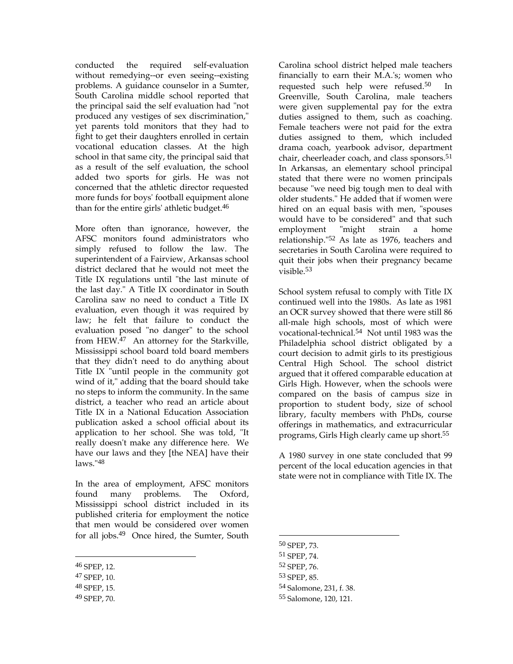conducted the required self-evaluation without remedying--or even seeing--existing problems. A guidance counselor in a Sumter, South Carolina middle school reported that the principal said the self evaluation had "not produced any vestiges of sex discrimination," yet parents told monitors that they had to fight to get their daughters enrolled in certain vocational education classes. At the high school in that same city, the principal said that as a result of the self evaluation, the school added two sports for girls. He was not concerned that the athletic director requested more funds for boys' football equipment alone than for the entire girls' athletic budget.<sup>46</sup>

More often than ignorance, however, the AFSC monitors found administrators who simply refused to follow the law. The superintendent of a Fairview, Arkansas school district declared that he would not meet the Title IX regulations until "the last minute of the last day." A Title IX coordinator in South Carolina saw no need to conduct a Title IX evaluation, even though it was required by law; he felt that failure to conduct the evaluation posed "no danger" to the school from  $HEW<sup>47</sup>$  An attorney for the Starkville, Mississippi school board told board members that they didn't need to do anything about Title IX "until people in the community got wind of it," adding that the board should take no steps to inform the community. In the same district, a teacher who read an article about Title IX in a National Education Association publication asked a school official about its application to her school. She was told, "It really doesn't make any difference here. We have our laws and they [the NEA] have their  $laws.$ "48

In the area of employment, AFSC monitors found many problems. The Oxford, Mississippi school district included in its published criteria for employment the notice that men would be considered over women for all jobs.49 Once hired, the Sumter, South

 $\overline{a}$ 

Carolina school district helped male teachers financially to earn their M.A.'s; women who requested such help were refused.50 In Greenville, South Carolina, male teachers were given supplemental pay for the extra duties assigned to them, such as coaching. Female teachers were not paid for the extra duties assigned to them, which included drama coach, yearbook advisor, department chair, cheerleader coach, and class sponsors.<sup>51</sup> In Arkansas, an elementary school principal stated that there were no women principals because "we need big tough men to deal with older students." He added that if women were hired on an equal basis with men, "spouses would have to be considered" and that such employment "might strain a home relationship."52 As late as 1976, teachers and secretaries in South Carolina were required to quit their jobs when their pregnancy became visible.<sup>53</sup>

School system refusal to comply with Title IX continued well into the 1980s. As late as 1981 an OCR survey showed that there were still 86 all-male high schools, most of which were vocational-technical.54 Not until 1983 was the Philadelphia school district obligated by a court decision to admit girls to its prestigious Central High School. The school district argued that it offered comparable education at Girls High. However, when the schools were compared on the basis of campus size in proportion to student body, size of school library, faculty members with PhDs, course offerings in mathematics, and extracurricular programs, Girls High clearly came up short.<sup>55</sup>

A 1980 survey in one state concluded that 99 percent of the local education agencies in that state were not in compliance with Title IX. The

<sup>46</sup> SPEP, 12.

<sup>47</sup> SPEP, 10.

<sup>48</sup> SPEP, 15.

<sup>49</sup> SPEP, 70.

<sup>50</sup> SPEP, 73.

<sup>51</sup> SPEP, 74.

<sup>52</sup> SPEP, 76.

<sup>53</sup> SPEP, 85.

<sup>54</sup> Salomone, 231, f. 38.

<sup>55</sup> Salomone, 120, 121.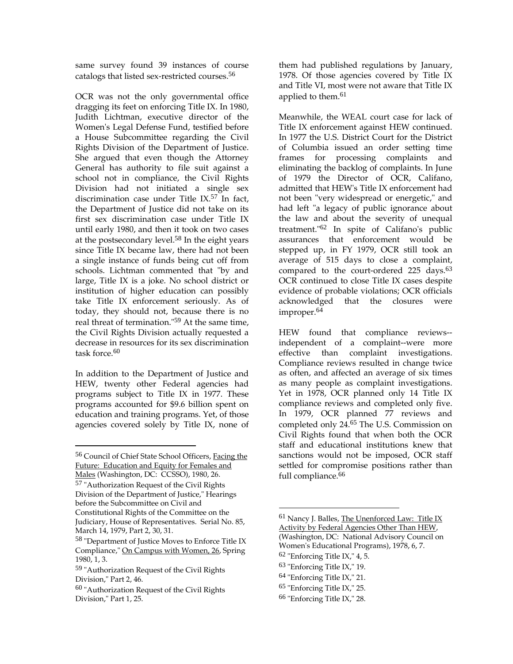same survey found 39 instances of course catalogs that listed sex-restricted courses.<sup>56</sup>

OCR was not the only governmental office dragging its feet on enforcing Title IX. In 1980, Judith Lichtman, executive director of the Women's Legal Defense Fund, testified before a House Subcommittee regarding the Civil Rights Division of the Department of Justice. She argued that even though the Attorney General has authority to file suit against a school not in compliance, the Civil Rights Division had not initiated a single sex discrimination case under Title IX.57 In fact, the Department of Justice did not take on its first sex discrimination case under Title IX until early 1980, and then it took on two cases at the postsecondary level.<sup>58</sup> In the eight years since Title IX became law, there had not been a single instance of funds being cut off from schools. Lichtman commented that "by and large, Title IX is a joke. No school district or institution of higher education can possibly take Title IX enforcement seriously. As of today, they should not, because there is no real threat of termination."59 At the same time, the Civil Rights Division actually requested a decrease in resources for its sex discrimination task force.<sup>60</sup>

In addition to the Department of Justice and HEW, twenty other Federal agencies had programs subject to Title IX in 1977. These programs accounted for \$9.6 billion spent on education and training programs. Yet, of those agencies covered solely by Title IX, none of

 $\overline{a}$ 

Males (Washington, DC: CCSSO), 1980, 26. <sup>57</sup> "Authorization Request of the Civil Rights Division of the Department of Justice," Hearings before the Subcommittee on Civil and Constitutional Rights of the Committee on the Judiciary, House of Representatives. Serial No. 85, March 14, 1979, Part 2, 30, 31.

them had published regulations by January, 1978. Of those agencies covered by Title IX and Title VI, most were not aware that Title IX applied to them.<sup>61</sup>

Meanwhile, the WEAL court case for lack of Title IX enforcement against HEW continued. In 1977 the U.S. District Court for the District of Columbia issued an order setting time frames for processing complaints and eliminating the backlog of complaints. In June of 1979 the Director of OCR, Califano, admitted that HEW's Title IX enforcement had not been "very widespread or energetic," and had left "a legacy of public ignorance about the law and about the severity of unequal treatment."62 In spite of Califano's public assurances that enforcement would be stepped up, in FY 1979, OCR still took an average of 515 days to close a complaint, compared to the court-ordered 225 days.<sup>63</sup> OCR continued to close Title IX cases despite evidence of probable violations; OCR officials acknowledged that the closures were improper.<sup>64</sup>

HEW found that compliance reviews- independent of a complaint--were more effective than complaint investigations. Compliance reviews resulted in change twice as often, and affected an average of six times as many people as complaint investigations. Yet in 1978, OCR planned only 14 Title IX compliance reviews and completed only five. In 1979, OCR planned 77 reviews and completed only 24.65 The U.S. Commission on Civil Rights found that when both the OCR staff and educational institutions knew that sanctions would not be imposed, OCR staff settled for compromise positions rather than full compliance.<sup>66</sup>

 $62$  "Enforcing Title IX," 4, 5.

- <sup>64</sup> "Enforcing Title IX," 21.
- <sup>65</sup> "Enforcing Title IX," 25.
- <sup>66</sup> "Enforcing Title IX," 28.

<sup>56</sup> Council of Chief State School Officers, Facing the Future: Education and Equity for Females and

<sup>58</sup> "Department of Justice Moves to Enforce Title IX Compliance," On Campus with Women, 26, Spring 1980, 1, 3.

<sup>59</sup> "Authorization Request of the Civil Rights Division," Part 2, 46.

<sup>60</sup> "Authorization Request of the Civil Rights Division," Part 1, 25.

<sup>&</sup>lt;sup>61</sup> Nancy J. Balles, The Unenforced Law: Title IX Activity by Federal Agencies Other Than HEW,

<sup>(</sup>Washington, DC: National Advisory Council on Women's Educational Programs), 1978, 6, 7.

<sup>63</sup> "Enforcing Title IX," 19.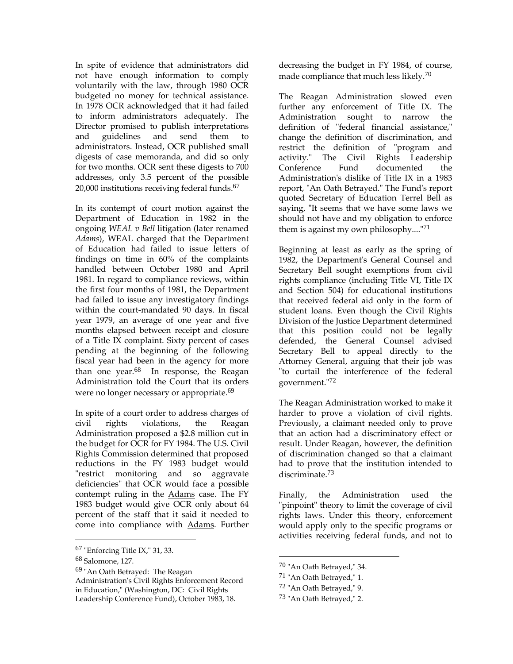In spite of evidence that administrators did not have enough information to comply voluntarily with the law, through 1980 OCR budgeted no money for technical assistance. In 1978 OCR acknowledged that it had failed to inform administrators adequately. The Director promised to publish interpretations and guidelines and send them to administrators. Instead, OCR published small digests of case memoranda, and did so only for two months. OCR sent these digests to 700 addresses, only 3.5 percent of the possible 20,000 institutions receiving federal funds.<sup>67</sup>

In its contempt of court motion against the Department of Education in 1982 in the ongoing *WEAL v Bell* litigation (later renamed *Adams*), WEAL charged that the Department of Education had failed to issue letters of findings on time in 60% of the complaints handled between October 1980 and April 1981. In regard to compliance reviews, within the first four months of 1981, the Department had failed to issue any investigatory findings within the court-mandated 90 days. In fiscal year 1979, an average of one year and five months elapsed between receipt and closure of a Title IX complaint. Sixty percent of cases pending at the beginning of the following fiscal year had been in the agency for more than one year. $68$  In response, the Reagan Administration told the Court that its orders were no longer necessary or appropriate.<sup>69</sup>

In spite of a court order to address charges of civil rights violations, the Reagan Administration proposed a \$2.8 million cut in the budget for OCR for FY 1984. The U.S. Civil Rights Commission determined that proposed reductions in the FY 1983 budget would "restrict monitoring and so aggravate deficiencies" that OCR would face a possible contempt ruling in the Adams case. The FY 1983 budget would give OCR only about 64 percent of the staff that it said it needed to come into compliance with Adams. Further

 $\overline{a}$ 

decreasing the budget in FY 1984, of course, made compliance that much less likely.<sup>70</sup>

The Reagan Administration slowed even further any enforcement of Title IX. The Administration sought to narrow the definition of "federal financial assistance," change the definition of discrimination, and restrict the definition of "program and activity." The Civil Rights Leadership Conference Fund documented the Administration's dislike of Title IX in a 1983 report, "An Oath Betrayed." The Fund's report quoted Secretary of Education Terrel Bell as saying, "It seems that we have some laws we should not have and my obligation to enforce them is against my own philosophy...."<sup>71</sup>

Beginning at least as early as the spring of 1982, the Department's General Counsel and Secretary Bell sought exemptions from civil rights compliance (including Title VI, Title IX and Section 504) for educational institutions that received federal aid only in the form of student loans. Even though the Civil Rights Division of the Justice Department determined that this position could not be legally defended, the General Counsel advised Secretary Bell to appeal directly to the Attorney General, arguing that their job was "to curtail the interference of the federal government."<sup>72</sup>

The Reagan Administration worked to make it harder to prove a violation of civil rights. Previously, a claimant needed only to prove that an action had a discriminatory effect or result. Under Reagan, however, the definition of discrimination changed so that a claimant had to prove that the institution intended to discriminate.<sup>73</sup>

Finally, the Administration used the "pinpoint" theory to limit the coverage of civil rights laws. Under this theory, enforcement would apply only to the specific programs or activities receiving federal funds, and not to

<sup>67</sup> "Enforcing Title IX," 31, 33.

<sup>68</sup> Salomone, 127.

<sup>69</sup> "An Oath Betrayed: The Reagan

Administration's Civil Rights Enforcement Record in Education," (Washington, DC: Civil Rights Leadership Conference Fund), October 1983, 18.

<sup>70</sup> "An Oath Betrayed," 34.

<sup>71</sup> "An Oath Betrayed," 1.

<sup>72</sup> "An Oath Betrayed," 9.

<sup>73</sup> "An Oath Betrayed," 2.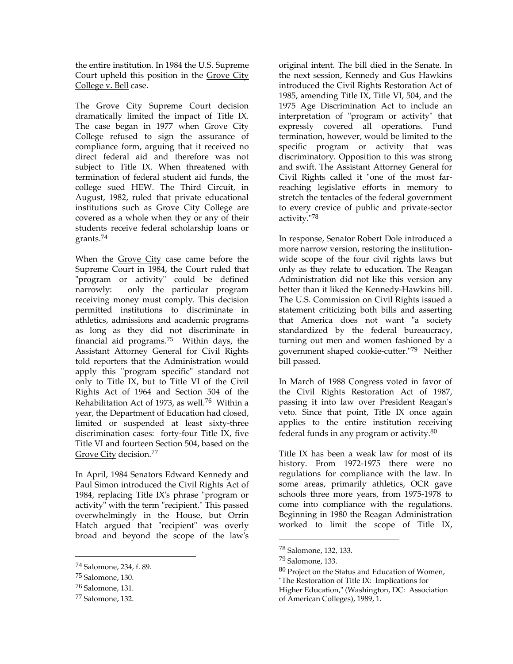the entire institution. In 1984 the U.S. Supreme Court upheld this position in the Grove City College v. Bell case.

The **Grove City** Supreme Court decision dramatically limited the impact of Title IX. The case began in 1977 when Grove City College refused to sign the assurance of compliance form, arguing that it received no direct federal aid and therefore was not subject to Title IX. When threatened with termination of federal student aid funds, the college sued HEW. The Third Circuit, in August, 1982, ruled that private educational institutions such as Grove City College are covered as a whole when they or any of their students receive federal scholarship loans or grants.<sup>74</sup>

When the **Grove City** case came before the Supreme Court in 1984, the Court ruled that "program or activity" could be defined narrowly: only the particular program receiving money must comply. This decision permitted institutions to discriminate in athletics, admissions and academic programs as long as they did not discriminate in financial aid programs.75 Within days, the Assistant Attorney General for Civil Rights told reporters that the Administration would apply this "program specific" standard not only to Title IX, but to Title VI of the Civil Rights Act of 1964 and Section 504 of the Rehabilitation Act of 1973, as well.76 Within a year, the Department of Education had closed, limited or suspended at least sixty-three discrimination cases: forty-four Title IX, five Title VI and fourteen Section 504, based on the Grove City decision.<sup>77</sup>

In April, 1984 Senators Edward Kennedy and Paul Simon introduced the Civil Rights Act of 1984, replacing Title IX's phrase "program or activity" with the term "recipient." This passed overwhelmingly in the House, but Orrin Hatch argued that "recipient" was overly broad and beyond the scope of the law's

 $\overline{a}$ 

original intent. The bill died in the Senate. In the next session, Kennedy and Gus Hawkins introduced the Civil Rights Restoration Act of 1985, amending Title IX, Title VI, 504, and the 1975 Age Discrimination Act to include an interpretation of "program or activity" that expressly covered all operations. Fund termination, however, would be limited to the specific program or activity that was discriminatory. Opposition to this was strong and swift. The Assistant Attorney General for Civil Rights called it "one of the most farreaching legislative efforts in memory to stretch the tentacles of the federal government to every crevice of public and private-sector activity."<sup>78</sup>

In response, Senator Robert Dole introduced a more narrow version, restoring the institutionwide scope of the four civil rights laws but only as they relate to education. The Reagan Administration did not like this version any better than it liked the Kennedy-Hawkins bill. The U.S. Commission on Civil Rights issued a statement criticizing both bills and asserting that America does not want "a society standardized by the federal bureaucracy, turning out men and women fashioned by a government shaped cookie-cutter."79 Neither bill passed.

In March of 1988 Congress voted in favor of the Civil Rights Restoration Act of 1987, passing it into law over President Reagan's veto. Since that point, Title IX once again applies to the entire institution receiving federal funds in any program or activity.<sup>80</sup>

Title IX has been a weak law for most of its history. From 1972-1975 there were no regulations for compliance with the law. In some areas, primarily athletics, OCR gave schools three more years, from 1975-1978 to come into compliance with the regulations. Beginning in 1980 the Reagan Administration worked to limit the scope of Title IX,

<sup>74</sup> Salomone, 234, f. 89.

<sup>75</sup> Salomone, 130.

<sup>76</sup> Salomone, 131.

<sup>77</sup> Salomone, 132.

<sup>78</sup> Salomone, 132, 133.

<sup>79</sup> Salomone, 133.

<sup>80</sup> Project on the Status and Education of Women,

<sup>&</sup>quot;The Restoration of Title IX: Implications for

Higher Education," (Washington, DC: Association of American Colleges), 1989, 1.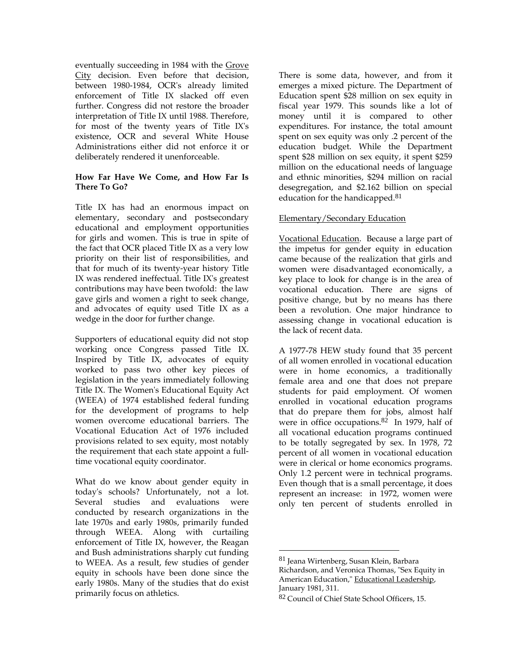eventually succeeding in 1984 with the Grove City decision. Even before that decision, between 1980-1984, OCR's already limited enforcement of Title IX slacked off even further. Congress did not restore the broader interpretation of Title IX until 1988. Therefore, for most of the twenty years of Title IX's existence, OCR and several White House Administrations either did not enforce it or deliberately rendered it unenforceable.

#### **How Far Have We Come, and How Far Is There To Go?**

Title IX has had an enormous impact on elementary, secondary and postsecondary educational and employment opportunities for girls and women. This is true in spite of the fact that OCR placed Title IX as a very low priority on their list of responsibilities, and that for much of its twenty-year history Title IX was rendered ineffectual. Title IX's greatest contributions may have been twofold: the law gave girls and women a right to seek change, and advocates of equity used Title IX as a wedge in the door for further change.

Supporters of educational equity did not stop working once Congress passed Title IX. Inspired by Title IX, advocates of equity worked to pass two other key pieces of legislation in the years immediately following Title IX. The Women's Educational Equity Act (WEEA) of 1974 established federal funding for the development of programs to help women overcome educational barriers. The Vocational Education Act of 1976 included provisions related to sex equity, most notably the requirement that each state appoint a fulltime vocational equity coordinator.

What do we know about gender equity in today's schools? Unfortunately, not a lot. Several studies and evaluations were conducted by research organizations in the late 1970s and early 1980s, primarily funded through WEEA. Along with curtailing enforcement of Title IX, however, the Reagan and Bush administrations sharply cut funding to WEEA. As a result, few studies of gender equity in schools have been done since the early 1980s. Many of the studies that do exist primarily focus on athletics.

There is some data, however, and from it emerges a mixed picture. The Department of Education spent \$28 million on sex equity in fiscal year 1979. This sounds like a lot of money until it is compared to other expenditures. For instance, the total amount spent on sex equity was only .2 percent of the education budget. While the Department spent \$28 million on sex equity, it spent \$259 million on the educational needs of language and ethnic minorities, \$294 million on racial desegregation, and \$2.162 billion on special education for the handicapped.<sup>81</sup>

# Elementary/Secondary Education

Vocational Education. Because a large part of the impetus for gender equity in education came because of the realization that girls and women were disadvantaged economically, a key place to look for change is in the area of vocational education. There are signs of positive change, but by no means has there been a revolution. One major hindrance to assessing change in vocational education is the lack of recent data.

A 1977-78 HEW study found that 35 percent of all women enrolled in vocational education were in home economics, a traditionally female area and one that does not prepare students for paid employment. Of women enrolled in vocational education programs that do prepare them for jobs, almost half were in office occupations.82 In 1979, half of all vocational education programs continued to be totally segregated by sex. In 1978, 72 percent of all women in vocational education were in clerical or home economics programs. Only 1.2 percent were in technical programs. Even though that is a small percentage, it does represent an increase: in 1972, women were only ten percent of students enrolled in

<sup>81</sup> Jeana Wirtenberg, Susan Klein, Barbara Richardson, and Veronica Thomas, "Sex Equity in American Education," Educational Leadership, January 1981, 311.

<sup>82</sup> Council of Chief State School Officers, 15.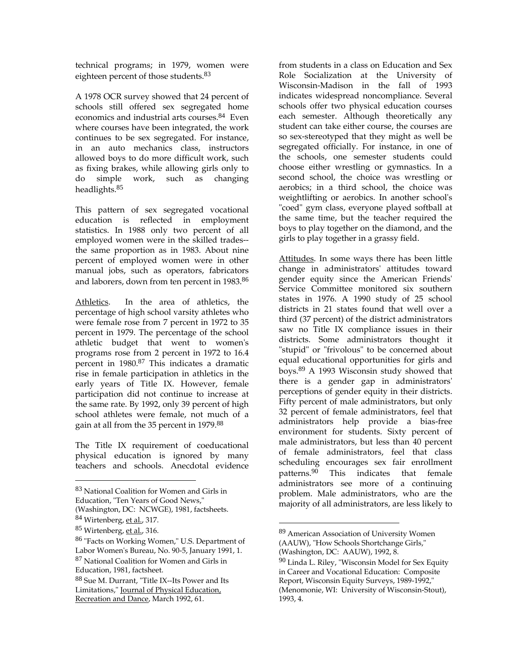technical programs; in 1979, women were eighteen percent of those students.<sup>83</sup>

A 1978 OCR survey showed that 24 percent of schools still offered sex segregated home economics and industrial arts courses.84 Even where courses have been integrated, the work continues to be sex segregated. For instance, in an auto mechanics class, instructors allowed boys to do more difficult work, such as fixing brakes, while allowing girls only to do simple work, such as changing headlights.<sup>85</sup>

This pattern of sex segregated vocational education is reflected in employment statistics. In 1988 only two percent of all employed women were in the skilled trades- the same proportion as in 1983. About nine percent of employed women were in other manual jobs, such as operators, fabricators and laborers, down from ten percent in 1983.<sup>86</sup>

Athletics. In the area of athletics, the percentage of high school varsity athletes who were female rose from 7 percent in 1972 to 35 percent in 1979. The percentage of the school athletic budget that went to women's programs rose from 2 percent in 1972 to 16.4 percent in 1980.87 This indicates a dramatic rise in female participation in athletics in the early years of Title IX. However, female participation did not continue to increase at the same rate. By 1992, only 39 percent of high school athletes were female, not much of a gain at all from the 35 percent in 1979.<sup>88</sup>

The Title IX requirement of coeducational physical education is ignored by many teachers and schools. Anecdotal evidence

 $\overline{a}$ 

from students in a class on Education and Sex Role Socialization at the University of Wisconsin-Madison in the fall of 1993 indicates widespread noncompliance. Several schools offer two physical education courses each semester. Although theoretically any student can take either course, the courses are so sex-stereotyped that they might as well be segregated officially. For instance, in one of the schools, one semester students could choose either wrestling or gymnastics. In a second school, the choice was wrestling or aerobics; in a third school, the choice was weightlifting or aerobics. In another school's "coed" gym class, everyone played softball at the same time, but the teacher required the boys to play together on the diamond, and the girls to play together in a grassy field.

Attitudes. In some ways there has been little change in administrators' attitudes toward gender equity since the American Friends' Service Committee monitored six southern states in 1976. A 1990 study of 25 school districts in 21 states found that well over a third (37 percent) of the district administrators saw no Title IX compliance issues in their districts. Some administrators thought it "stupid" or "frivolous" to be concerned about equal educational opportunities for girls and boys.89 A 1993 Wisconsin study showed that there is a gender gap in administrators' perceptions of gender equity in their districts. Fifty percent of male administrators, but only 32 percent of female administrators, feel that administrators help provide a bias-free environment for students. Sixty percent of male administrators, but less than 40 percent of female administrators, feel that class scheduling encourages sex fair enrollment patterns. $90$  This indicates that female administrators see more of a continuing problem. Male administrators, who are the majority of all administrators, are less likely to

<sup>83</sup> National Coalition for Women and Girls in

Education, "Ten Years of Good News,"

<sup>(</sup>Washington, DC: NCWGE), 1981, factsheets.

<sup>84</sup> Wirtenberg, et al., 317.

<sup>85</sup> Wirtenberg, et al., 316.

<sup>86</sup> "Facts on Working Women," U.S. Department of Labor Women's Bureau, No. 90-5, January 1991, 1. <sup>87</sup> National Coalition for Women and Girls in

Education, 1981, factsheet.

<sup>88</sup> Sue M. Durrant, "Title IX--Its Power and Its Limitations," Journal of Physical Education, Recreation and Dance, March 1992, 61.

<sup>89</sup> American Association of University Women (AAUW), "How Schools Shortchange Girls," (Washington, DC: AAUW), 1992, 8.

<sup>90</sup> Linda L. Riley, "Wisconsin Model for Sex Equity in Career and Vocational Education: Composite Report, Wisconsin Equity Surveys, 1989-1992," (Menomonie, WI: University of Wisconsin-Stout), 1993, 4.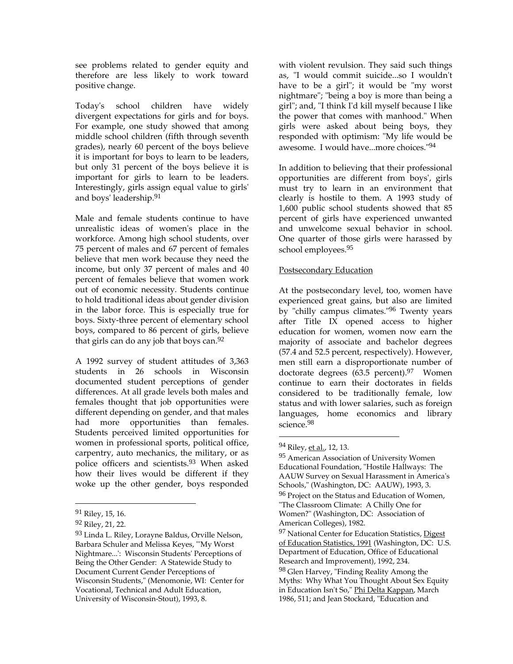see problems related to gender equity and therefore are less likely to work toward positive change.

Today's school children have widely divergent expectations for girls and for boys. For example, one study showed that among middle school children (fifth through seventh grades), nearly 60 percent of the boys believe it is important for boys to learn to be leaders, but only 31 percent of the boys believe it is important for girls to learn to be leaders. Interestingly, girls assign equal value to girls' and boys' leadership.<sup>91</sup>

Male and female students continue to have unrealistic ideas of women's place in the workforce. Among high school students, over 75 percent of males and 67 percent of females believe that men work because they need the income, but only 37 percent of males and 40 percent of females believe that women work out of economic necessity. Students continue to hold traditional ideas about gender division in the labor force. This is especially true for boys. Sixty-three percent of elementary school boys, compared to 86 percent of girls, believe that girls can do any job that boys can.<sup>92</sup>

A 1992 survey of student attitudes of 3,363 students in 26 schools in Wisconsin documented student perceptions of gender differences. At all grade levels both males and females thought that job opportunities were different depending on gender, and that males had more opportunities than females. Students perceived limited opportunities for women in professional sports, political office, carpentry, auto mechanics, the military, or as police officers and scientists.<sup>93</sup> When asked how their lives would be different if they woke up the other gender, boys responded

 $\overline{a}$ 

with violent revulsion. They said such things as, "I would commit suicide...so I wouldn't have to be a girl"; it would be "my worst nightmare"; "being a boy is more than being a girl"; and, "I think I'd kill myself because I like the power that comes with manhood." When girls were asked about being boys, they responded with optimism: "My life would be awesome. I would have...more choices."<sup>94</sup>

In addition to believing that their professional opportunities are different from boys', girls must try to learn in an environment that clearly is hostile to them. A 1993 study of 1,600 public school students showed that 85 percent of girls have experienced unwanted and unwelcome sexual behavior in school. One quarter of those girls were harassed by school employees.<sup>95</sup>

#### Postsecondary Education

At the postsecondary level, too, women have experienced great gains, but also are limited by "chilly campus climates."96 Twenty years after Title IX opened access to higher education for women, women now earn the majority of associate and bachelor degrees (57.4 and 52.5 percent, respectively). However, men still earn a disproportionate number of doctorate degrees (63.5 percent). $97$  Women continue to earn their doctorates in fields considered to be traditionally female, low status and with lower salaries, such as foreign languages, home economics and library science.<sup>98</sup>

<sup>91</sup> Riley, 15, 16.

<sup>92</sup> Riley, 21, 22.

<sup>93</sup> Linda L. Riley, Lorayne Baldus, Orville Nelson, Barbara Schuler and Melissa Keyes, "'My Worst Nightmare...': Wisconsin Students' Perceptions of Being the Other Gender: A Statewide Study to Document Current Gender Perceptions of Wisconsin Students," (Menomonie, WI: Center for Vocational, Technical and Adult Education, University of Wisconsin-Stout), 1993, 8.

<sup>94</sup> Riley, et al., 12, 13.

<sup>95</sup> American Association of University Women Educational Foundation, "Hostile Hallways: The AAUW Survey on Sexual Harassment in America's Schools," (Washington, DC: AAUW), 1993, 3. <sup>96</sup> Project on the Status and Education of Women, "The Classroom Climate: A Chilly One for Women?" (Washington, DC: Association of American Colleges), 1982.

<sup>97</sup> National Center for Education Statistics, Digest of Education Statistics, 1991 (Washington, DC: U.S. Department of Education, Office of Educational Research and Improvement), 1992, 234.

<sup>98</sup> Glen Harvey, "Finding Reality Among the Myths: Why What You Thought About Sex Equity in Education Isn't So," Phi Delta Kappan, March 1986, 511; and Jean Stockard, "Education and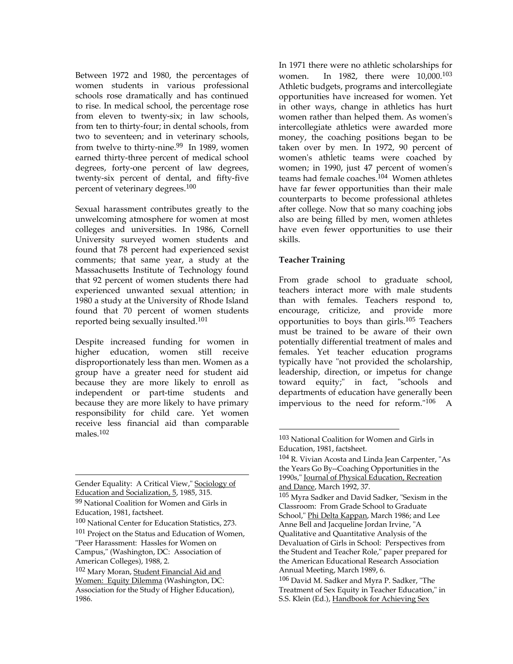Between 1972 and 1980, the percentages of women students in various professional schools rose dramatically and has continued to rise. In medical school, the percentage rose from eleven to twenty-six; in law schools, from ten to thirty-four; in dental schools, from two to seventeen; and in veterinary schools, from twelve to thirty-nine.<sup>99</sup> In 1989, women earned thirty-three percent of medical school degrees, forty-one percent of law degrees, twenty-six percent of dental, and fifty-five percent of veterinary degrees.<sup>100</sup>

Sexual harassment contributes greatly to the unwelcoming atmosphere for women at most colleges and universities. In 1986, Cornell University surveyed women students and found that 78 percent had experienced sexist comments; that same year, a study at the Massachusetts Institute of Technology found that 92 percent of women students there had experienced unwanted sexual attention; in 1980 a study at the University of Rhode Island found that 70 percent of women students reported being sexually insulted.<sup>101</sup>

Despite increased funding for women in higher education, women still receive disproportionately less than men. Women as a group have a greater need for student aid because they are more likely to enroll as independent or part-time students and because they are more likely to have primary responsibility for child care. Yet women receive less financial aid than comparable males.<sup>102</sup>

In 1971 there were no athletic scholarships for women. In 1982, there were 10,000.<sup>103</sup> Athletic budgets, programs and intercollegiate opportunities have increased for women. Yet in other ways, change in athletics has hurt women rather than helped them. As women's intercollegiate athletics were awarded more money, the coaching positions began to be taken over by men. In 1972, 90 percent of women's athletic teams were coached by women; in 1990, just 47 percent of women's teams had female coaches.104 Women athletes have far fewer opportunities than their male counterparts to become professional athletes after college. Now that so many coaching jobs also are being filled by men, women athletes have even fewer opportunities to use their skills.

# **Teacher Training**

 $\overline{a}$ 

From grade school to graduate school, teachers interact more with male students than with females. Teachers respond to, encourage, criticize, and provide more opportunities to boys than girls.105 Teachers must be trained to be aware of their own potentially differential treatment of males and females. Yet teacher education programs typically have "not provided the scholarship, leadership, direction, or impetus for change toward equity;" in fact, "schools and departments of education have generally been impervious to the need for reform."106 A

 $\overline{a}$ Gender Equality: A Critical View," Sociology of Education and Socialization, 5, 1985, 315.

<sup>99</sup> National Coalition for Women and Girls in Education, 1981, factsheet.

<sup>100</sup> National Center for Education Statistics, 273.

<sup>&</sup>lt;sup>101</sup> Project on the Status and Education of Women, "Peer Harassment: Hassles for Women on Campus," (Washington, DC: Association of American Colleges), 1988, 2.

<sup>102</sup> Mary Moran, Student Financial Aid and Women: Equity Dilemma (Washington, DC: Association for the Study of Higher Education), 1986.

<sup>103</sup> National Coalition for Women and Girls in Education, 1981, factsheet.

<sup>&</sup>lt;sup>104</sup> R. Vivian Acosta and Linda Jean Carpenter, "As the Years Go By--Coaching Opportunities in the 1990s," Journal of Physical Education, Recreation and Dance, March 1992, 37.

<sup>105</sup> Myra Sadker and David Sadker, "Sexism in the Classroom: From Grade School to Graduate School," Phi Delta Kappan, March 1986; and Lee Anne Bell and Jacqueline Jordan Irvine, "A Qualitative and Quantitative Analysis of the Devaluation of Girls in School: Perspectives from the Student and Teacher Role," paper prepared for the American Educational Research Association Annual Meeting, March 1989, 6.

<sup>&</sup>lt;sup>106</sup> David M. Sadker and Myra P. Sadker, "The Treatment of Sex Equity in Teacher Education," in S.S. Klein (Ed.), Handbook for Achieving Sex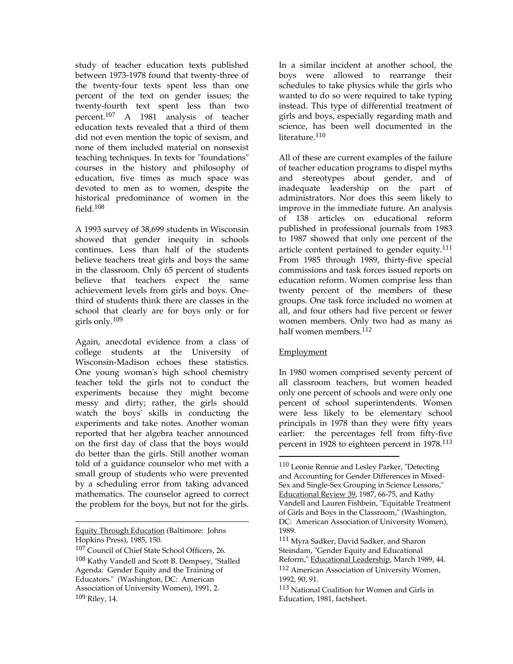study of teacher education texts published between 1973-1978 found that twenty-three of the twenty-four texts spent less than one percent of the text on gender issues; the twenty-fourth text spent less than two percent.107 A 1981 analysis of teacher education texts revealed that a third of them did not even mention the topic of sexism, and none of them included material on nonsexist teaching techniques. In texts for "foundations" courses in the history and philosophy of education, five times as much space was devoted to men as to women, despite the historical predominance of women in the field.<sup>108</sup>

A 1993 survey of 38,699 students in Wisconsin showed that gender inequity in schools continues. Less than half of the students believe teachers treat girls and boys the same in the classroom. Only 65 percent of students believe that teachers expect the same achievement levels from girls and boys. Onethird of students think there are classes in the school that clearly are for boys only or for girls only.<sup>109</sup>

Again, anecdotal evidence from a class of college students at the University of Wisconsin-Madison echoes these statistics. One young woman's high school chemistry teacher told the girls not to conduct the experiments because they might become messy and dirty; rather, the girls should watch the boys' skills in conducting the experiments and take notes. Another woman reported that her algebra teacher announced on the first day of class that the boys would do better than the girls. Still another woman told of a guidance counselor who met with a small group of students who were prevented by a scheduling error from taking advanced mathematics. The counselor agreed to correct the problem for the boys, but not for the girls.

 $\overline{a}$ Equity Through Education (Baltimore: Johns Hopkins Press), 1985, 150.

In a similar incident at another school, the boys were allowed to rearrange their schedules to take physics while the girls who wanted to do so were required to take typing instead. This type of differential treatment of girls and boys, especially regarding math and science, has been well documented in the literature.<sup>110</sup>

All of these are current examples of the failure of teacher education programs to dispel myths and stereotypes about gender, and of inadequate leadership on the part of administrators. Nor does this seem likely to improve in the immediate future. An analysis of 138 articles on educational reform published in professional journals from 1983 to 1987 showed that only one percent of the article content pertained to gender equity.<sup>111</sup> From 1985 through 1989, thirty-five special commissions and task forces issued reports on education reform. Women comprise less than twenty percent of the members of these groups. One task force included no women at all, and four others had five percent or fewer women members. Only two had as many as half women members.<sup>112</sup>

# **Employment**

 $\overline{a}$ 

In 1980 women comprised seventy percent of all classroom teachers, but women headed only one percent of schools and were only one percent of school superintendents. Women were less likely to be elementary school principals in 1978 than they were fifty years earlier: the percentages fell from fifty-five percent in 1928 to eighteen percent in 1978.<sup>113</sup>

<sup>107</sup> Council of Chief State School Officers, 26. <sup>108</sup> Kathy Vandell and Scott B. Dempsey, "Stalled Agenda: Gender Equity and the Training of Educators." (Washington, DC: American Association of University Women), 1991, 2. <sup>109</sup> Riley, 14.

<sup>110</sup> Leonie Rennie and Lesley Parker, "Detecting and Accounting for Gender Differences in Mixed-Sex and Single-Sex Grouping in Science Lessons," Educational Review 39, 1987, 66-75, and Kathy Vandell and Lauren Fishbein, "Equitable Treatment of Girls and Boys in the Classroom," (Washington, DC: American Association of University Women), 1989.

<sup>111</sup> Myra Sadker, David Sadker, and Sharon Steindam, "Gender Equity and Educational Reform," Educational Leadership, March 1989, 44.

<sup>112</sup> American Association of University Women, 1992, 90, 91.

<sup>113</sup> National Coalition for Women and Girls in Education, 1981, factsheet.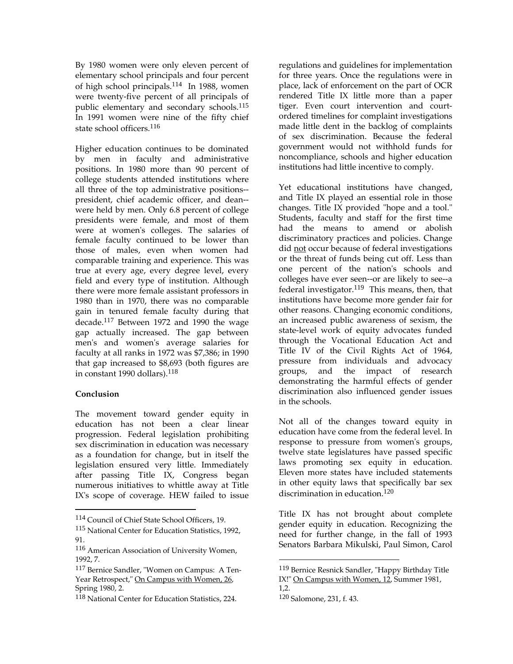By 1980 women were only eleven percent of elementary school principals and four percent of high school principals.114 In 1988, women were twenty-five percent of all principals of public elementary and secondary schools.<sup>115</sup> In 1991 women were nine of the fifty chief state school officers.<sup>116</sup>

Higher education continues to be dominated by men in faculty and administrative positions. In 1980 more than 90 percent of college students attended institutions where all three of the top administrative positions- president, chief academic officer, and dean- were held by men. Only 6.8 percent of college presidents were female, and most of them were at women's colleges. The salaries of female faculty continued to be lower than those of males, even when women had comparable training and experience. This was true at every age, every degree level, every field and every type of institution. Although there were more female assistant professors in 1980 than in 1970, there was no comparable gain in tenured female faculty during that decade.117 Between 1972 and 1990 the wage gap actually increased. The gap between men's and women's average salaries for faculty at all ranks in 1972 was \$7,386; in 1990 that gap increased to \$8,693 (both figures are in constant 1990 dollars).<sup>118</sup>

# **Conclusion**

 $\overline{a}$ 

The movement toward gender equity in education has not been a clear linear progression. Federal legislation prohibiting sex discrimination in education was necessary as a foundation for change, but in itself the legislation ensured very little. Immediately after passing Title IX, Congress began numerous initiatives to whittle away at Title IX's scope of coverage. HEW failed to issue

regulations and guidelines for implementation for three years. Once the regulations were in place, lack of enforcement on the part of OCR rendered Title IX little more than a paper tiger. Even court intervention and courtordered timelines for complaint investigations made little dent in the backlog of complaints of sex discrimination. Because the federal government would not withhold funds for noncompliance, schools and higher education institutions had little incentive to comply.

Yet educational institutions have changed, and Title IX played an essential role in those changes. Title IX provided "hope and a tool." Students, faculty and staff for the first time had the means to amend or abolish discriminatory practices and policies. Change did not occur because of federal investigations or the threat of funds being cut off. Less than one percent of the nation's schools and colleges have ever seen--or are likely to see--a federal investigator.119 This means, then, that institutions have become more gender fair for other reasons. Changing economic conditions, an increased public awareness of sexism, the state-level work of equity advocates funded through the Vocational Education Act and Title IV of the Civil Rights Act of 1964, pressure from individuals and advocacy groups, and the impact of research demonstrating the harmful effects of gender discrimination also influenced gender issues in the schools.

Not all of the changes toward equity in education have come from the federal level. In response to pressure from women's groups, twelve state legislatures have passed specific laws promoting sex equity in education. Eleven more states have included statements in other equity laws that specifically bar sex discrimination in education.<sup>120</sup>

Title IX has not brought about complete gender equity in education. Recognizing the need for further change, in the fall of 1993 Senators Barbara Mikulski, Paul Simon, Carol

<sup>114</sup> Council of Chief State School Officers, 19.

<sup>115</sup> National Center for Education Statistics, 1992, 91.

<sup>116</sup> American Association of University Women, 1992, 7.

<sup>117</sup> Bernice Sandler, "Women on Campus: A Ten-Year Retrospect," On Campus with Women, 26, Spring 1980, 2.

<sup>118</sup> National Center for Education Statistics, 224.

<sup>119</sup> Bernice Resnick Sandler, "Happy Birthday Title IX!" On Campus with Women, 12, Summer 1981,

<sup>1,2.</sup>

<sup>120</sup> Salomone, 231, f. 43.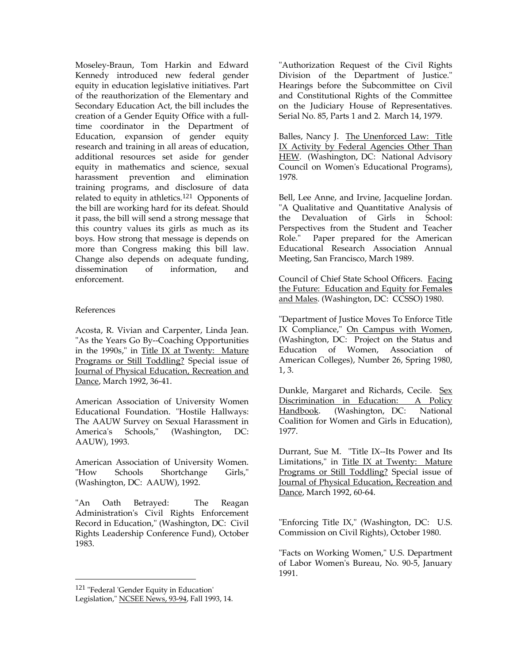Moseley-Braun, Tom Harkin and Edward Kennedy introduced new federal gender equity in education legislative initiatives. Part of the reauthorization of the Elementary and Secondary Education Act, the bill includes the creation of a Gender Equity Office with a fulltime coordinator in the Department of Education, expansion of gender equity research and training in all areas of education, additional resources set aside for gender equity in mathematics and science, sexual harassment prevention and elimination training programs, and disclosure of data related to equity in athletics.121 Opponents of the bill are working hard for its defeat. Should it pass, the bill will send a strong message that this country values its girls as much as its boys. How strong that message is depends on more than Congress making this bill law. Change also depends on adequate funding, dissemination of information, and enforcement.

#### References

 $\overline{a}$ 

Acosta, R. Vivian and Carpenter, Linda Jean. "As the Years Go By--Coaching Opportunities in the 1990s," in Title IX at Twenty: Mature Programs or Still Toddling? Special issue of Journal of Physical Education, Recreation and Dance, March 1992, 36-41.

American Association of University Women Educational Foundation. "Hostile Hallways: The AAUW Survey on Sexual Harassment in America's Schools," (Washington, DC: AAUW), 1993.

American Association of University Women. "How Schools Shortchange Girls," (Washington, DC: AAUW), 1992.

"An Oath Betrayed: The Reagan Administration's Civil Rights Enforcement Record in Education," (Washington, DC: Civil Rights Leadership Conference Fund), October 1983.

"Authorization Request of the Civil Rights Division of the Department of Justice." Hearings before the Subcommittee on Civil and Constitutional Rights of the Committee on the Judiciary House of Representatives. Serial No. 85, Parts 1 and 2. March 14, 1979.

Balles, Nancy J. The Unenforced Law: Title IX Activity by Federal Agencies Other Than HEW. (Washington, DC: National Advisory Council on Women's Educational Programs), 1978.

Bell, Lee Anne, and Irvine, Jacqueline Jordan. "A Qualitative and Quantitative Analysis of the Devaluation of Girls in School: Perspectives from the Student and Teacher Role." Paper prepared for the American Educational Research Association Annual Meeting, San Francisco, March 1989.

Council of Chief State School Officers. Facing the Future: Education and Equity for Females and Males. (Washington, DC: CCSSO) 1980.

"Department of Justice Moves To Enforce Title IX Compliance," On Campus with Women, (Washington, DC: Project on the Status and Education of Women, Association of American Colleges), Number 26, Spring 1980, 1, 3.

Dunkle, Margaret and Richards, Cecile. Sex Discrimination in Education: A Policy Handbook. (Washington, DC: National Coalition for Women and Girls in Education), 1977.

Durrant, Sue M. "Title IX--Its Power and Its Limitations," in Title IX at Twenty: Mature Programs or Still Toddling? Special issue of Journal of Physical Education, Recreation and Dance, March 1992, 60-64.

"Enforcing Title IX," (Washington, DC: U.S. Commission on Civil Rights), October 1980.

"Facts on Working Women," U.S. Department of Labor Women's Bureau, No. 90-5, January 1991.

<sup>121</sup> "Federal 'Gender Equity in Education' Legislation," NCSEE News, 93-94, Fall 1993, 14.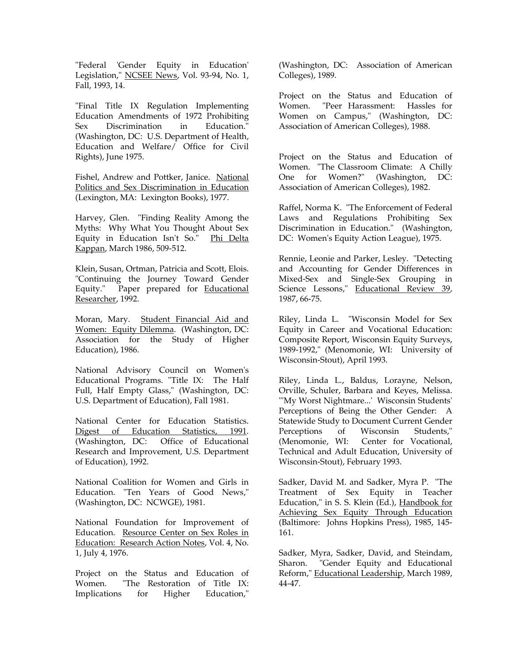"Federal 'Gender Equity in Education' Legislation," NCSEE News, Vol. 93-94, No. 1, Fall, 1993, 14.

"Final Title IX Regulation Implementing Education Amendments of 1972 Prohibiting Sex Discrimination in Education." (Washington, DC: U.S. Department of Health, Education and Welfare/ Office for Civil Rights), June 1975.

Fishel, Andrew and Pottker, Janice. National Politics and Sex Discrimination in Education (Lexington, MA: Lexington Books), 1977.

Harvey, Glen. "Finding Reality Among the Myths: Why What You Thought About Sex Equity in Education Isn't So." Phi Delta Kappan, March 1986, 509-512.

Klein, Susan, Ortman, Patricia and Scott, Elois. "Continuing the Journey Toward Gender Equity." Paper prepared for Educational Researcher, 1992.

Moran, Mary. Student Financial Aid and Women: Equity Dilemma. (Washington, DC: Association for the Study of Higher Education), 1986.

National Advisory Council on Women's Educational Programs. "Title IX: The Half Full, Half Empty Glass," (Washington, DC: U.S. Department of Education), Fall 1981.

National Center for Education Statistics. Digest of Education Statistics, 1991. (Washington, DC: Office of Educational Research and Improvement, U.S. Department of Education), 1992.

National Coalition for Women and Girls in Education. "Ten Years of Good News," (Washington, DC: NCWGE), 1981.

National Foundation for Improvement of Education. Resource Center on Sex Roles in Education: Research Action Notes, Vol. 4, No. 1, July 4, 1976.

Project on the Status and Education of Women. "The Restoration of Title IX: Implications for Higher Education,"

(Washington, DC: Association of American Colleges), 1989.

Project on the Status and Education of Women. "Peer Harassment: Hassles for Women on Campus," (Washington, DC: Association of American Colleges), 1988.

Project on the Status and Education of Women. "The Classroom Climate: A Chilly One for Women?" (Washington, DC: Association of American Colleges), 1982.

Raffel, Norma K. "The Enforcement of Federal Laws and Regulations Prohibiting Sex Discrimination in Education." (Washington, DC: Women's Equity Action League), 1975.

Rennie, Leonie and Parker, Lesley. "Detecting and Accounting for Gender Differences in Mixed-Sex and Single-Sex Grouping in Science Lessons," Educational Review 39, 1987, 66-75.

Riley, Linda L. "Wisconsin Model for Sex Equity in Career and Vocational Education: Composite Report, Wisconsin Equity Surveys, 1989-1992," (Menomonie, WI: University of Wisconsin-Stout), April 1993.

Riley, Linda L., Baldus, Lorayne, Nelson, Orville, Schuler, Barbara and Keyes, Melissa. "'My Worst Nightmare...' Wisconsin Students' Perceptions of Being the Other Gender: A Statewide Study to Document Current Gender Perceptions of Wisconsin Students," (Menomonie, WI: Center for Vocational, Technical and Adult Education, University of Wisconsin-Stout), February 1993.

Sadker, David M. and Sadker, Myra P. "The Treatment of Sex Equity in Teacher Education," in S. S. Klein (Ed.), Handbook for Achieving Sex Equity Through Education (Baltimore: Johns Hopkins Press), 1985, 145- 161.

Sadker, Myra, Sadker, David, and Steindam, Sharon. "Gender Equity and Educational Reform," Educational Leadership, March 1989, 44-47.